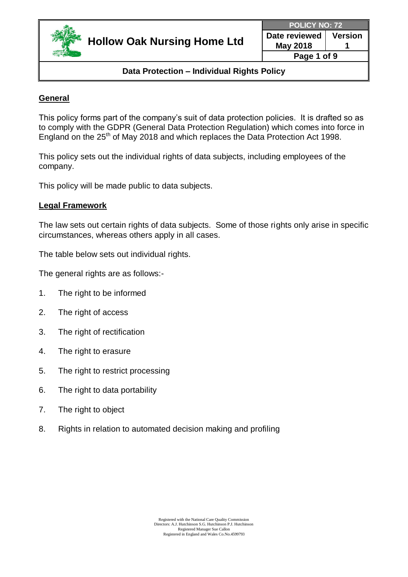

**Date reviewed May 2018 Version 1 Page 1 of 9**

# **Data Protection – Individual Rights Policy**

### **General**

This policy forms part of the company's suit of data protection policies. It is drafted so as to comply with the GDPR (General Data Protection Regulation) which comes into force in England on the 25<sup>th</sup> of May 2018 and which replaces the Data Protection Act 1998.

This policy sets out the individual rights of data subjects, including employees of the company.

This policy will be made public to data subjects.

#### **Legal Framework**

The law sets out certain rights of data subjects. Some of those rights only arise in specific circumstances, whereas others apply in all cases.

The table below sets out individual rights.

The general rights are as follows:-

- 1. The right to be informed
- 2. The right of access
- 3. The right of rectification
- 4. The right to erasure
- 5. The right to restrict processing
- 6. The right to data portability
- 7. The right to object
- 8. Rights in relation to automated decision making and profiling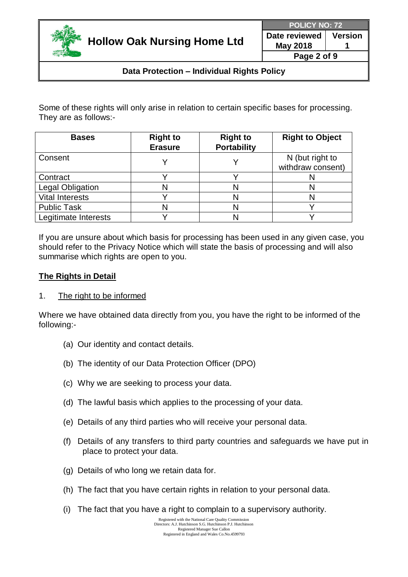

**Date reviewed May 2018 Version 1 Page 2 of 9**

# **Data Protection – Individual Rights Policy**

Some of these rights will only arise in relation to certain specific bases for processing. They are as follows:-

| <b>Bases</b>           | <b>Right to</b><br><b>Erasure</b> | <b>Right to</b><br><b>Portability</b> | <b>Right to Object</b>               |
|------------------------|-----------------------------------|---------------------------------------|--------------------------------------|
| Consent                |                                   |                                       | N (but right to<br>withdraw consent) |
| Contract               |                                   |                                       |                                      |
| Legal Obligation       | N                                 |                                       |                                      |
| <b>Vital Interests</b> |                                   |                                       |                                      |
| <b>Public Task</b>     |                                   |                                       |                                      |
| Legitimate Interests   |                                   |                                       |                                      |

If you are unsure about which basis for processing has been used in any given case, you should refer to the Privacy Notice which will state the basis of processing and will also summarise which rights are open to you.

### **The Rights in Detail**

#### 1. The right to be informed

Where we have obtained data directly from you, you have the right to be informed of the following:-

- (a) Our identity and contact details.
- (b) The identity of our Data Protection Officer (DPO)
- (c) Why we are seeking to process your data.
- (d) The lawful basis which applies to the processing of your data.
- (e) Details of any third parties who will receive your personal data.
- (f) Details of any transfers to third party countries and safeguards we have put in place to protect your data.
- (g) Details of who long we retain data for.
- (h) The fact that you have certain rights in relation to your personal data.
- (i) The fact that you have a right to complain to a supervisory authority.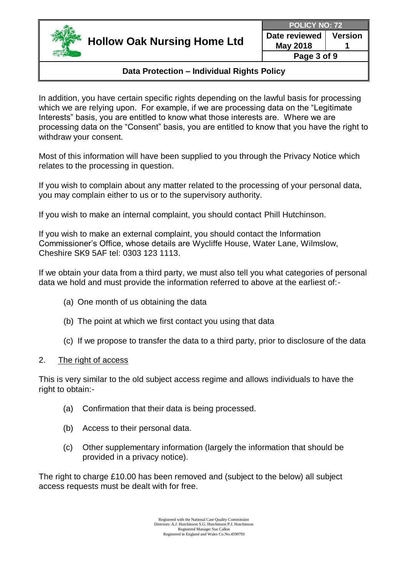

**Date reviewed May 2018 Version 1**

**Page 3 of 9**

# **Data Protection – Individual Rights Policy**

In addition, you have certain specific rights depending on the lawful basis for processing which we are relying upon. For example, if we are processing data on the "Legitimate Interests" basis, you are entitled to know what those interests are. Where we are processing data on the "Consent" basis, you are entitled to know that you have the right to withdraw your consent.

Most of this information will have been supplied to you through the Privacy Notice which relates to the processing in question.

If you wish to complain about any matter related to the processing of your personal data, you may complain either to us or to the supervisory authority.

If you wish to make an internal complaint, you should contact Phill Hutchinson.

If you wish to make an external complaint, you should contact the Information Commissioner's Office, whose details are Wycliffe House, Water Lane, Wilmslow, Cheshire SK9 5AF tel: 0303 123 1113.

If we obtain your data from a third party, we must also tell you what categories of personal data we hold and must provide the information referred to above at the earliest of:-

- (a) One month of us obtaining the data
- (b) The point at which we first contact you using that data
- (c) If we propose to transfer the data to a third party, prior to disclosure of the data

#### 2. The right of access

This is very similar to the old subject access regime and allows individuals to have the right to obtain:-

- (a) Confirmation that their data is being processed.
- (b) Access to their personal data.
- (c) Other supplementary information (largely the information that should be provided in a privacy notice).

The right to charge £10.00 has been removed and (subject to the below) all subject access requests must be dealt with for free.

> Registered with the National Care Quality Commission Directors: A.J. Hutchinson S.G. Hutchinson P.J. Hutchinson Registered Manager Sue Callon Registered in England and Wales Co.No.4599793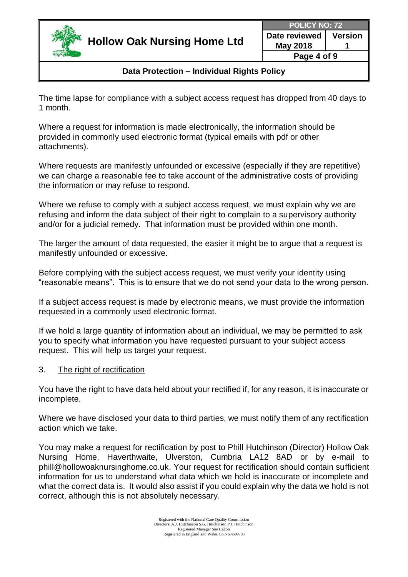

**Date reviewed May 2018 Version 1 Page 4 of 9**

**Data Protection – Individual Rights Policy**

The time lapse for compliance with a subject access request has dropped from 40 days to 1 month.

Where a request for information is made electronically, the information should be provided in commonly used electronic format (typical emails with pdf or other attachments).

Where requests are manifestly unfounded or excessive (especially if they are repetitive) we can charge a reasonable fee to take account of the administrative costs of providing the information or may refuse to respond.

Where we refuse to comply with a subject access request, we must explain why we are refusing and inform the data subject of their right to complain to a supervisory authority and/or for a judicial remedy. That information must be provided within one month.

The larger the amount of data requested, the easier it might be to argue that a request is manifestly unfounded or excessive.

Before complying with the subject access request, we must verify your identity using "reasonable means". This is to ensure that we do not send your data to the wrong person.

If a subject access request is made by electronic means, we must provide the information requested in a commonly used electronic format.

If we hold a large quantity of information about an individual, we may be permitted to ask you to specify what information you have requested pursuant to your subject access request. This will help us target your request.

3. The right of rectification

You have the right to have data held about your rectified if, for any reason, it is inaccurate or incomplete.

Where we have disclosed your data to third parties, we must notify them of any rectification action which we take.

You may make a request for rectification by post to Phill Hutchinson (Director) Hollow Oak Nursing Home, Haverthwaite, Ulverston, Cumbria LA12 8AD or by e-mail to phill@hollowoaknursinghome.co.uk. Your request for rectification should contain sufficient information for us to understand what data which we hold is inaccurate or incomplete and what the correct data is. It would also assist if you could explain why the data we hold is not correct, although this is not absolutely necessary.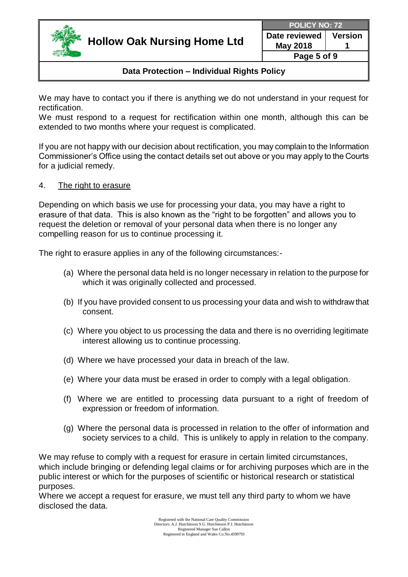

**Date reviewed May 2018 Version 1**

**Page 5 of 9**

## **Data Protection – Individual Rights Policy**

We may have to contact you if there is anything we do not understand in your request for rectification.

We must respond to a request for rectification within one month, although this can be extended to two months where your request is complicated.

If you are not happy with our decision about rectification, you may complain to the Information Commissioner's Office using the contact details set out above or you may apply to the Courts for a judicial remedy.

### 4. The right to erasure

Depending on which basis we use for processing your data, you may have a right to erasure of that data. This is also known as the "right to be forgotten" and allows you to request the deletion or removal of your personal data when there is no longer any compelling reason for us to continue processing it.

The right to erasure applies in any of the following circumstances:-

- (a) Where the personal data held is no longer necessary in relation to the purpose for which it was originally collected and processed.
- (b) If you have provided consent to us processing your data and wish to withdraw that consent.
- (c) Where you object to us processing the data and there is no overriding legitimate interest allowing us to continue processing.
- (d) Where we have processed your data in breach of the law.
- (e) Where your data must be erased in order to comply with a legal obligation.
- (f) Where we are entitled to processing data pursuant to a right of freedom of expression or freedom of information.
- (g) Where the personal data is processed in relation to the offer of information and society services to a child. This is unlikely to apply in relation to the company.

We may refuse to comply with a request for erasure in certain limited circumstances, which include bringing or defending legal claims or for archiving purposes which are in the public interest or which for the purposes of scientific or historical research or statistical purposes.

Where we accept a request for erasure, we must tell any third party to whom we have disclosed the data.

> Registered with the National Care Quality Commission Directors: A.J. Hutchinson S.G. Hutchinson P.J. Hutchinson Registered Manager Sue Callon Registered in England and Wales Co.No.4599793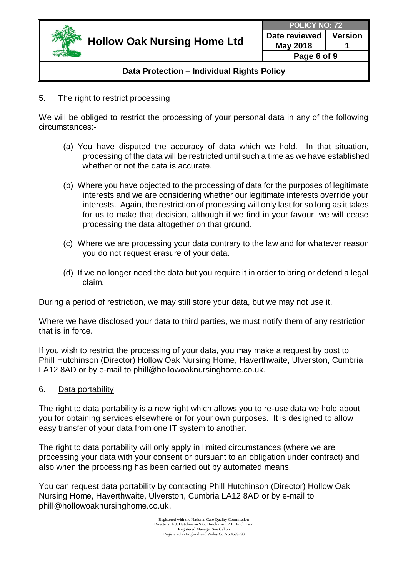

**Date reviewed May 2018 Version 1 Page 6 of 9**

# **Data Protection – Individual Rights Policy**

#### 5. The right to restrict processing

We will be obliged to restrict the processing of your personal data in any of the following circumstances:-

- (a) You have disputed the accuracy of data which we hold. In that situation, processing of the data will be restricted until such a time as we have established whether or not the data is accurate.
- (b) Where you have objected to the processing of data for the purposes of legitimate interests and we are considering whether our legitimate interests override your interests. Again, the restriction of processing will only last for so long as it takes for us to make that decision, although if we find in your favour, we will cease processing the data altogether on that ground.
- (c) Where we are processing your data contrary to the law and for whatever reason you do not request erasure of your data.
- (d) If we no longer need the data but you require it in order to bring or defend a legal claim.

During a period of restriction, we may still store your data, but we may not use it.

Where we have disclosed your data to third parties, we must notify them of any restriction that is in force.

If you wish to restrict the processing of your data, you may make a request by post to Phill Hutchinson (Director) Hollow Oak Nursing Home, Haverthwaite, Ulverston, Cumbria LA12 8AD or by e-mail to phill@hollowoaknursinghome.co.uk.

6. Data portability

The right to data portability is a new right which allows you to re-use data we hold about you for obtaining services elsewhere or for your own purposes. It is designed to allow easy transfer of your data from one IT system to another.

The right to data portability will only apply in limited circumstances (where we are processing your data with your consent or pursuant to an obligation under contract) and also when the processing has been carried out by automated means.

You can request data portability by contacting Phill Hutchinson (Director) Hollow Oak Nursing Home, Haverthwaite, Ulverston, Cumbria LA12 8AD or by e-mail to phill@hollowoaknursinghome.co.uk.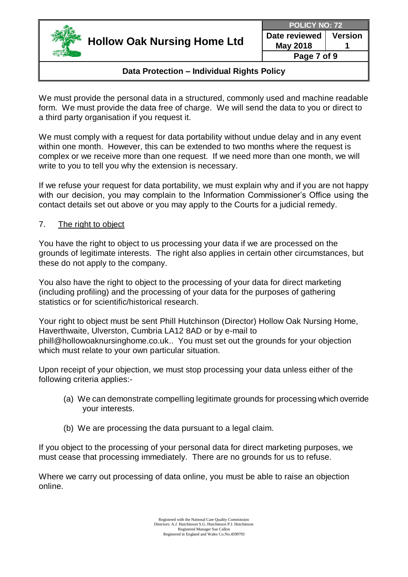

**Date reviewed May 2018 Version 1**

**Page 7 of 9**

# **Data Protection – Individual Rights Policy**

We must provide the personal data in a structured, commonly used and machine readable form. We must provide the data free of charge. We will send the data to you or direct to a third party organisation if you request it.

We must comply with a request for data portability without undue delay and in any event within one month. However, this can be extended to two months where the request is complex or we receive more than one request. If we need more than one month, we will write to you to tell you why the extension is necessary.

If we refuse your request for data portability, we must explain why and if you are not happy with our decision, you may complain to the Information Commissioner's Office using the contact details set out above or you may apply to the Courts for a judicial remedy.

### 7. The right to object

You have the right to object to us processing your data if we are processed on the grounds of legitimate interests. The right also applies in certain other circumstances, but these do not apply to the company.

You also have the right to object to the processing of your data for direct marketing (including profiling) and the processing of your data for the purposes of gathering statistics or for scientific/historical research.

Your right to object must be sent Phill Hutchinson (Director) Hollow Oak Nursing Home, Haverthwaite, Ulverston, Cumbria LA12 8AD or by e-mail to phill@hollowoaknursinghome.co.uk.. You must set out the grounds for your objection which must relate to your own particular situation.

Upon receipt of your objection, we must stop processing your data unless either of the following criteria applies:-

- (a) We can demonstrate compelling legitimate grounds for processing which override your interests.
- (b) We are processing the data pursuant to a legal claim.

If you object to the processing of your personal data for direct marketing purposes, we must cease that processing immediately. There are no grounds for us to refuse.

Where we carry out processing of data online, you must be able to raise an objection online.

> Registered with the National Care Quality Commission Directors: A.J. Hutchinson S.G. Hutchinson P.J. Hutchinson Registered Manager Sue Callon Registered in England and Wales Co.No.4599793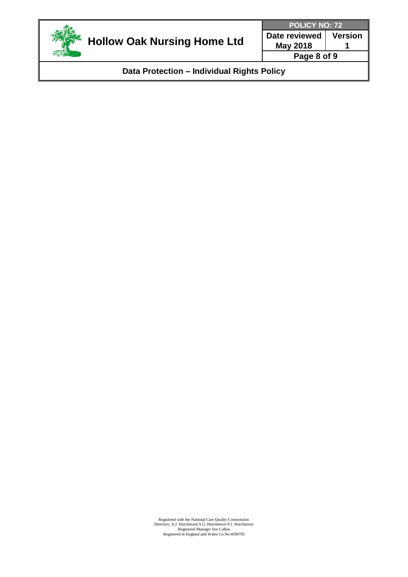|                                            | <b>Hollow Oak Nursing Home Ltd</b> | POLICY NO: 72   |                |  |  |  |
|--------------------------------------------|------------------------------------|-----------------|----------------|--|--|--|
|                                            |                                    | Date reviewed   | <b>Version</b> |  |  |  |
|                                            |                                    | <b>May 2018</b> |                |  |  |  |
|                                            |                                    | Page 8 of 9     |                |  |  |  |
| Data Protection - Individual Rights Policy |                                    |                 |                |  |  |  |

Registered with the National Care Quality Commission<br>
Registered Manager Sue Callon<br>
Registered Manager Sue Callon<br>
Registered in England and Wales Co.No.4599793